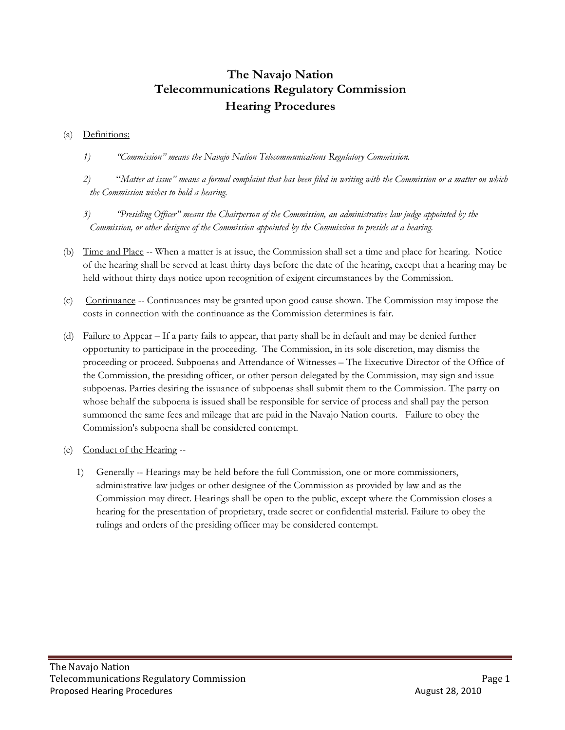## **The Navajo Nation Telecommunications Regulatory Commission Hearing Procedures**

## (a) Definitions:

- *1) "Commission" means the Navajo Nation Telecommunications Regulatory Commission.*
- *2)* "*Matter at issue" means a formal complaint that has been filed in writing with the Commission or a matter on which the Commission wishes to hold a hearing.*
- *3) "Presiding Officer" means the Chairperson of the Commission, an administrative law judge appointed by the Commission, or other designee of the Commission appointed by the Commission to preside at a hearing.*
- (b) Time and Place -- When a matter is at issue, the Commission shall set a time and place for hearing. Notice of the hearing shall be served at least thirty days before the date of the hearing, except that a hearing may be held without thirty days notice upon recognition of exigent circumstances by the Commission.
- (c) Continuance -- Continuances may be granted upon good cause shown. The Commission may impose the costs in connection with the continuance as the Commission determines is fair.
- (d) Failure to Appear If a party fails to appear, that party shall be in default and may be denied further opportunity to participate in the proceeding. The Commission, in its sole discretion, may dismiss the proceeding or proceed. Subpoenas and Attendance of Witnesses – The Executive Director of the Office of the Commission, the presiding officer, or other person delegated by the Commission, may sign and issue subpoenas. Parties desiring the issuance of subpoenas shall submit them to the Commission. The party on whose behalf the subpoena is issued shall be responsible for service of process and shall pay the person summoned the same fees and mileage that are paid in the Navajo Nation courts. Failure to obey the Commission's subpoena shall be considered contempt.
- (e) Conduct of the Hearing --
	- 1) Generally -- Hearings may be held before the full Commission, one or more commissioners, administrative law judges or other designee of the Commission as provided by law and as the Commission may direct. Hearings shall be open to the public, except where the Commission closes a hearing for the presentation of proprietary, trade secret or confidential material. Failure to obey the rulings and orders of the presiding officer may be considered contempt.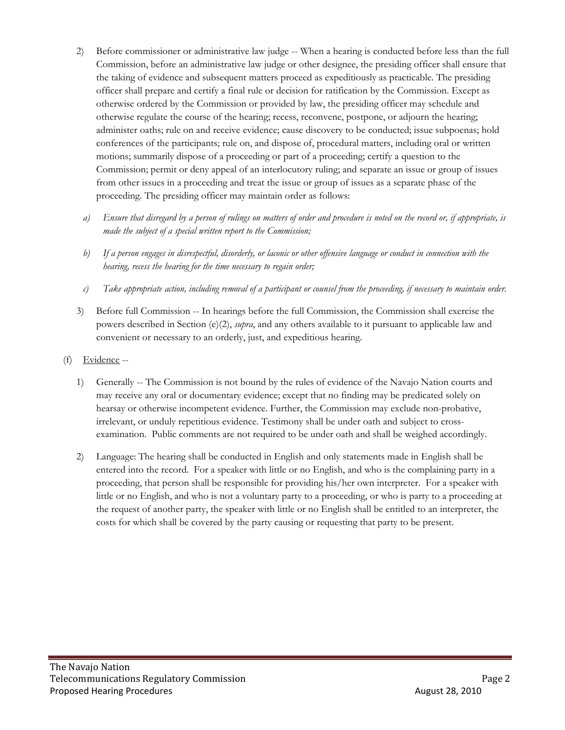- 2) Before commissioner or administrative law judge -- When a hearing is conducted before less than the full Commission, before an administrative law judge or other designee, the presiding officer shall ensure that the taking of evidence and subsequent matters proceed as expeditiously as practicable. The presiding officer shall prepare and certify a final rule or decision for ratification by the Commission. Except as otherwise ordered by the Commission or provided by law, the presiding officer may schedule and otherwise regulate the course of the hearing; recess, reconvene, postpone, or adjourn the hearing; administer oaths; rule on and receive evidence; cause discovery to be conducted; issue subpoenas; hold conferences of the participants; rule on, and dispose of, procedural matters, including oral or written motions; summarily dispose of a proceeding or part of a proceeding; certify a question to the Commission; permit or deny appeal of an interlocutory ruling; and separate an issue or group of issues from other issues in a proceeding and treat the issue or group of issues as a separate phase of the proceeding. The presiding officer may maintain order as follows:
	- *a) Ensure that disregard by a person of rulings on matters of order and procedure is noted on the record or, if appropriate, is made the subject of a special written report to the Commission;*
	- *b) If a person engages in disrespectful, disorderly, or laconic or other offensive language or conduct in connection with the hearing, recess the hearing for the time necessary to regain order;*
	- *c) Take appropriate action, including removal of a participant or counsel from the proceeding, if necessary to maintain order.*
- 3) Before full Commission -- In hearings before the full Commission, the Commission shall exercise the powers described in Section (e)(2), *supra*, and any others available to it pursuant to applicable law and convenient or necessary to an orderly, just, and expeditious hearing.
- (f) Evidence --
	- 1) Generally -- The Commission is not bound by the rules of evidence of the Navajo Nation courts and may receive any oral or documentary evidence; except that no finding may be predicated solely on hearsay or otherwise incompetent evidence. Further, the Commission may exclude non-probative, irrelevant, or unduly repetitious evidence. Testimony shall be under oath and subject to crossexamination. Public comments are not required to be under oath and shall be weighed accordingly.
	- 2) Language: The hearing shall be conducted in English and only statements made in English shall be entered into the record. For a speaker with little or no English, and who is the complaining party in a proceeding, that person shall be responsible for providing his/her own interpreter. For a speaker with little or no English, and who is not a voluntary party to a proceeding, or who is party to a proceeding at the request of another party, the speaker with little or no English shall be entitled to an interpreter, the costs for which shall be covered by the party causing or requesting that party to be present.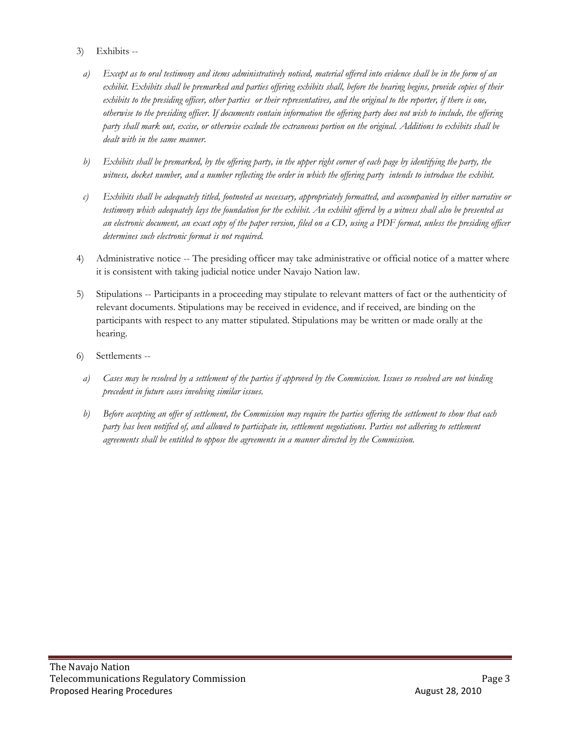- 3) Exhibits
	- *a) Except as to oral testimony and items administratively noticed, material offered into evidence shall be in the form of an exhibit. Exhibits shall be premarked and parties offering exhibits shall, before the hearing begins, provide copies of their exhibits to the presiding officer, other parties or their representatives, and the original to the reporter, if there is one, otherwise to the presiding officer. If documents contain information the offering party does not wish to include, the offering party shall mark out, excise, or otherwise exclude the extraneous portion on the original. Additions to exhibits shall be dealt with in the same manner.*
	- *b) Exhibits shall be premarked, by the offering party, in the upper right corner of each page by identifying the party, the witness, docket number, and a number reflecting the order in which the offering party intends to introduce the exhibit.*
	- *c) Exhibits shall be adequately titled, footnoted as necessary, appropriately formatted, and accompanied by either narrative or testimony which adequately lays the foundation for the exhibit. An exhibit offered by a witness shall also be presented as an electronic document, an exact copy of the paper version, filed on a CD, using a PDF format, unless the presiding officer determines such electronic format is not required.*
- 4) Administrative notice -- The presiding officer may take administrative or official notice of a matter where it is consistent with taking judicial notice under Navajo Nation law.
- 5) Stipulations -- Participants in a proceeding may stipulate to relevant matters of fact or the authenticity of relevant documents. Stipulations may be received in evidence, and if received, are binding on the participants with respect to any matter stipulated. Stipulations may be written or made orally at the hearing.
- 6) Settlements
	- *a) Cases may be resolved by a settlement of the parties if approved by the Commission. Issues so resolved are not binding precedent in future cases involving similar issues.*
	- *b) Before accepting an offer of settlement, the Commission may require the parties offering the settlement to show that each party has been notified of, and allowed to participate in, settlement negotiations. Parties not adhering to settlement agreements shall be entitled to oppose the agreements in a manner directed by the Commission.*